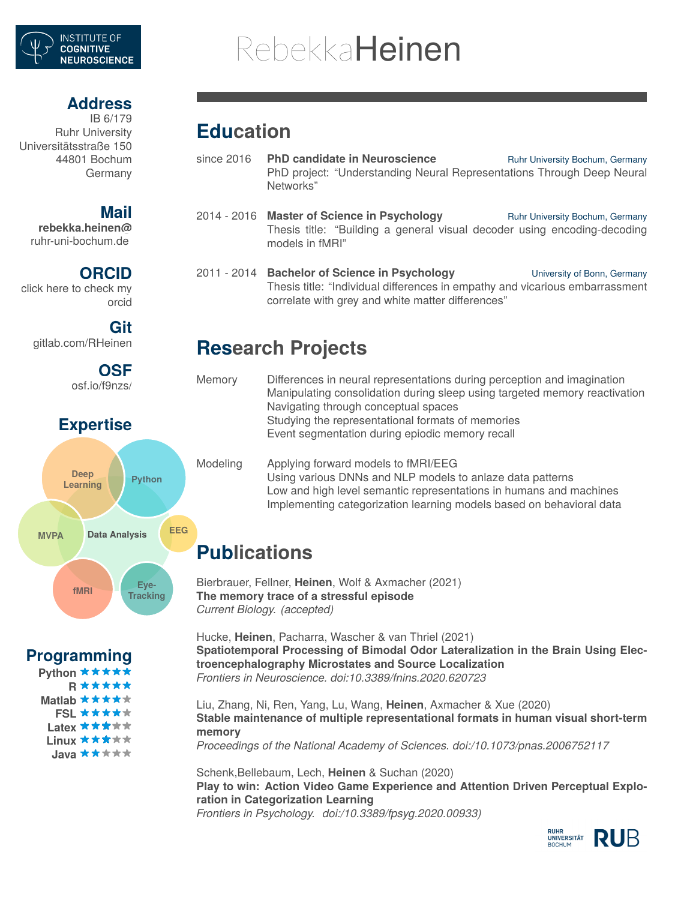

# RebekkaHeinen

### **Address**

IB 6/179 Ruhr University Universitätsstraße 150 44801 Bochum Germany

### **Mail**

**[rebekka.heinen@](mailto:rebekka.heinen@rub.de)** [ruhr-uni-bochum.de](mailto:rebekka.heinen@rub.de)

### **ORCID**

click here to [check](https://orcid.org/0000-0002-6888-8101) my [orcid](https://orcid.org/0000-0002-6888-8101)

#### **Git**

[gitlab.com/RHeinen](https://git.noc.ruhr-uni-bochum.de/RHeinen)

### **OSF**

[osf.io/f9nzs/](https://osf.io/f9nzs/)

### **Expertise**



**Programming**

Python \*\*\*\*\* **R Matlab ★★★★**★ **FSL**\*\*\*\*\* Latex \*\*\*\*\* Linux **\* \* \*** \* \* Java **\*\*\***\*\*

# **Education**

.....

- since 2016 **PhD candidate in Neuroscience** Ruhr University Bochum, Germany PhD project: "Understanding Neural Representations Through Deep Neural Networks"
- 2014 2016 **Master of Science in Psychology** Ruhr University Bochum, Germany Thesis title: "Building a general visual decoder using encoding-decoding models in fMRI"
- 2011 2014 **Bachelor of Science in Psychology** University of Bonn, Germany Thesis title: "Individual differences in empathy and vicarious embarrassment correlate with grey and white matter differences"

# **Research Projects**

| Memory | Differences in neural representations during perception and imagination    |
|--------|----------------------------------------------------------------------------|
|        | Manipulating consolidation during sleep using targeted memory reactivation |
|        | Navigating through conceptual spaces                                       |
|        | Studying the representational formats of memories                          |
|        | Event segmentation during epiodic memory recall                            |
|        |                                                                            |

#### Modeling Applying forward models to fMRI/EEG Using various DNNs and NLP models to anlaze data patterns Low and high level semantic representations in humans and machines Implementing categorization learning models based on behavioral data

# **Publications**

Bierbrauer, Fellner, **Heinen**, Wolf & Axmacher (2021) **The memory trace of a stressful episode** *Current Biology. (accepted)*

Hucke, **Heinen**, Pacharra, Wascher & van Thriel (2021) **Spatiotemporal Processing of Bimodal Odor Lateralization in the Brain Using Electroencephalography Microstates and Source Localization** *Frontiers in Neuroscience. doi:10.3389/fnins.2020.620723*

Liu, Zhang, Ni, Ren, Yang, Lu, Wang, **Heinen**, Axmacher & Xue (2020) **Stable maintenance of multiple representational formats in human visual short-term memory** *Proceedings of the National Academy of Sciences. doi:/10.1073/pnas.2006752117*

Schenk,Bellebaum, Lech, **Heinen** & Suchan (2020) **Play to win: Action Video Game Experience and Attention Driven Perceptual Exploration in Categorization Learning** *Frontiers in Psychology. doi:/10.3389/fpsyg.2020.00933)*